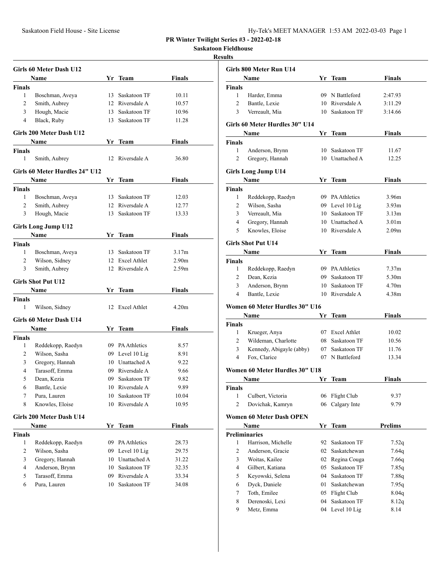**Saskatoon Fieldhouse**

|                | Girls 60 Meter Dash U12            |    |                  |                   |
|----------------|------------------------------------|----|------------------|-------------------|
|                | Name                               |    | Yr Team          | Finals            |
| Finals         |                                    |    |                  |                   |
| 1              | Boschman, Aveya                    |    | 13 Saskatoon TF  | 10.11             |
| $\overline{c}$ | Smith, Aubrey                      |    | 12 Riversdale A  | 10.57             |
| 3              | Hough, Macie                       |    | 13 Saskatoon TF  | 10.96             |
| 4              | Black, Ruby                        |    | 13 Saskatoon TF  | 11.28             |
|                | Girls 200 Meter Dash U12           |    |                  |                   |
|                | Name                               |    | Yr Team          | Finals            |
| Finals         |                                    |    |                  |                   |
| 1              | Smith, Aubrey                      |    | 12 Riversdale A  | 36.80             |
|                | Girls 60 Meter Hurdles 24" U12     |    |                  |                   |
|                | Name                               |    | Yr Team          | <b>Finals</b>     |
| <b>Finals</b>  |                                    |    |                  |                   |
| 1              | Boschman, Aveya                    |    | 13 Saskatoon TF  | 12.03             |
| $\overline{c}$ | Smith, Aubrey                      |    | 12 Riversdale A  | 12.77             |
| 3              | Hough, Macie                       |    | 13 Saskatoon TF  | 13.33             |
|                | Girls Long Jump U12                |    |                  |                   |
|                | Name                               |    | Yr Team          | Finals            |
| <b>Finals</b>  |                                    |    |                  |                   |
| $\mathbf{1}$   | Boschman, Aveya                    |    | 13 Saskatoon TF  | 3.17m             |
| 2              | Wilson, Sidney                     |    | 12 Excel Athlet  | 2.90 <sub>m</sub> |
| 3              | Smith, Aubrey                      |    | 12. Riversdale A | 2.59 <sub>m</sub> |
|                | <b>Girls Shot Put U12</b>          |    |                  |                   |
|                | Name                               |    | Yr Team          | Finals            |
| Finals         |                                    |    |                  |                   |
| 1              | Wilson, Sidney                     |    | 12 Excel Athlet  | 4.20m             |
|                | Girls 60 Meter Dash U14            |    |                  |                   |
|                |                                    |    |                  |                   |
| <b>Finals</b>  | Name                               |    | Yr Team          | <b>Finals</b>     |
| 1              |                                    |    | 09 PA Athletics  | 8.57              |
| 2              | Reddekopp, Raedyn<br>Wilson, Sasha |    | 09 Level 10 Lig  | 8.91              |
| 3              | Gregory, Hannah                    |    | 10 Unattached A  | 9.22              |
| 4              | Tarasoff, Emma                     |    | 09 Riversdale A  | 9.66              |
| 5              | Dean, Kezia                        |    | 09 Saskatoon TF  | 9.82              |
| 6              | Bantle, Lexie                      |    | 10 Riversdale A  | 9.89              |
| 7              | Pura, Lauren                       | 10 | Saskatoon TF     | 10.04             |
| 8              | Knowles, Eloise                    | 10 | Riversdale A     | 10.95             |
|                |                                    |    |                  |                   |
|                | Girls 200 Meter Dash U14<br>Name   | Yr | <b>Team</b>      | Finals            |
| Finals         |                                    |    |                  |                   |
| 1              | Reddekopp, Raedyn                  | 09 | PA Athletics     | 28.73             |
| 2              | Wilson, Sasha                      | 09 | Level 10 Lig     | 29.75             |
| 3              | Gregory, Hannah                    | 10 | Unattached A     | 31.22             |
| 4              | Anderson, Brynn                    | 10 | Saskatoon TF     | 32.35             |
| 5              | Tarasoff, Emma                     |    | 09 Riversdale A  | 33.34             |
| 6              | Pura, Lauren                       | 10 | Saskatoon TF     | 34.08             |
|                |                                    |    |                  |                   |

|                | Girls 800 Meter Run U14                  |    |                                    |                   |
|----------------|------------------------------------------|----|------------------------------------|-------------------|
|                | Name                                     |    | Yr Team                            | <b>Finals</b>     |
| Finals         |                                          |    |                                    |                   |
| 1              | Harder, Emma                             |    | 09 N Battleford                    | 2:47.93           |
| $\overline{c}$ | Bantle, Lexie                            |    | 10 Riversdale A                    | 3:11.29           |
| 3              | Verreault, Mia                           |    | 10 Saskatoon TF                    | 3:14.66           |
|                | Girls 60 Meter Hurdles 30" U14           |    |                                    |                   |
|                | Name                                     |    | Yr Team                            | <b>Finals</b>     |
| Finals         |                                          |    |                                    |                   |
| 1              | Anderson, Brynn                          |    | 10 Saskatoon TF                    | 11.67             |
| $\overline{c}$ | Gregory, Hannah                          |    | 10 Unattached A                    | 12.25             |
|                |                                          |    |                                    |                   |
|                | <b>Girls Long Jump U14</b><br>Name       |    |                                    |                   |
| Finals         |                                          |    | Yr Team                            | Finals            |
| 1              | Reddekopp, Raedyn                        |    | 09 PA Athletics                    | 3.96m             |
| 2              | Wilson, Sasha                            |    | 09 Level 10 Lig                    | 3.93 <sub>m</sub> |
| 3              | Verreault, Mia                           |    | 10 Saskatoon TF                    | 3.13 <sub>m</sub> |
| 4              | Gregory, Hannah                          |    | 10 Unattached A                    | 3.01 <sub>m</sub> |
| 5              | Knowles, Eloise                          |    | 10 Riversdale A                    | 2.09 <sub>m</sub> |
|                |                                          |    |                                    |                   |
|                | <b>Girls Shot Put U14</b>                |    |                                    |                   |
|                | Name                                     |    | Yr Team                            | Finals            |
| Finals         |                                          |    |                                    |                   |
| 1<br>2         | Reddekopp, Raedyn                        |    | 09 PA Athletics<br>09 Saskatoon TF | 7.37 <sub>m</sub> |
| 3              | Dean, Kezia                              |    | 10 Saskatoon TF                    | 5.30m<br>4.70m    |
| 4              | Anderson, Brynn<br>Bantle, Lexie         |    | 10 Riversdale A                    | 4.38m             |
|                |                                          |    |                                    |                   |
|                | Women 60 Meter Hurdles 30" U16           |    |                                    |                   |
|                | Name                                     | Yr | Team                               | <b>Finals</b>     |
| Finals         |                                          |    |                                    |                   |
| 1              | Krueger, Anya                            |    | 07 Excel Athlet                    | 10.02             |
| 2              | Wildeman, Charlotte                      |    | 08 Saskatoon TF                    | 10.56             |
| 3<br>4         | Kennedy, Abigayle (abby)<br>Fox, Clarice |    | 07 Saskatoon TF<br>07 N Battleford | 11.76<br>13.34    |
|                |                                          |    |                                    |                   |
|                | Women 60 Meter Hurdles 30" U18           |    |                                    |                   |
|                | Name                                     | Yr | <b>Team</b>                        | <b>Finals</b>     |
| Finals         |                                          |    |                                    |                   |
| 1              | Culbert, Victoria                        | 06 | Flight Club                        | 9.37              |
| 2              | Dovichak, Kamryn                         | 06 | Calgary Inte                       | 9.79              |
|                | <b>Women 60 Meter Dash OPEN</b>          |    |                                    |                   |
|                | Name                                     | Yr | <b>Team</b>                        | <b>Prelims</b>    |
|                | Preliminaries                            |    |                                    |                   |
| 1              | Harrison, Michelle                       | 92 | Saskatoon TF                       | 7.52q             |
| 2              | Anderson, Gracie                         | 02 | Saskatchewan                       | 7.64q             |
| 3              | Woitas, Kailee                           |    | 02 Regina Couga                    | 7.66q             |
| $\overline{4}$ | Gilbert, Katiana                         |    | 05 Saskatoon TF                    | 7.85q             |
| 5              | Keyowski, Selena                         |    | 04 Saskatoon TF                    | 7.88q             |
| 6              | Dyck, Daniele                            | 01 | Saskatchewan                       | 7.95q             |
| 7              | Toth, Emilee                             |    | 05 Flight Club                     | 8.04q             |
| $\,$ 8 $\,$    | Derenoski, Lexi                          | 04 | Saskatoon TF                       | 8.12q             |
| 9              | Metz, Emma                               | 04 | Level 10 Lig                       | 8.14              |
|                |                                          |    |                                    |                   |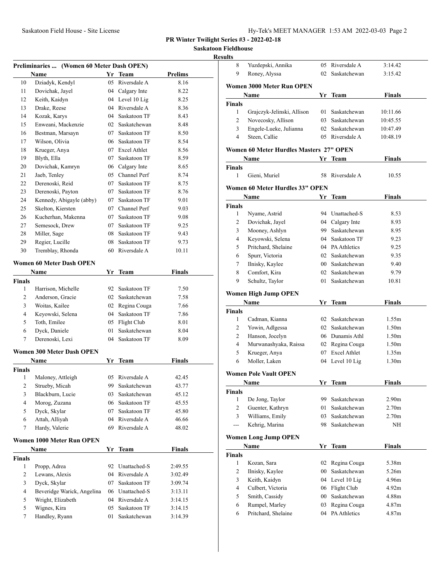| Hy-Tek's MEET MANAGER 1:53 AM 2022-03-03 Page 2 |  |  |  |
|-------------------------------------------------|--|--|--|
|-------------------------------------------------|--|--|--|

**Saskatoon Fieldhouse**

| Preliminaries  (Women 60 Meter Dash OPEN) |                                  |    |                 |                |  |
|-------------------------------------------|----------------------------------|----|-----------------|----------------|--|
|                                           | Name                             |    | Yr Team         | <b>Prelims</b> |  |
| 10                                        | Dziadyk, Kendyl                  | 05 | Riversdale A    | 8.16           |  |
| 11                                        | Dovichak, Jayel                  |    | 04 Calgary Inte | 8.22           |  |
| 12                                        | Keith, Kaidyn                    |    | 04 Level 10 Lig | 8.25           |  |
| 13                                        | Drake, Reese                     | 04 | Riversdale A    | 8.36           |  |
| 14                                        | Kozak, Karys                     | 04 | Saskatoon TF    | 8.43           |  |
| 15                                        | Enweani, Mackenzie               | 02 | Saskatchewan    | 8.48           |  |
| 16                                        | Bestman, Marsayn                 | 07 | Saskatoon TF    | 8.50           |  |
| 17                                        | Wilson, Olivia                   |    | 06 Saskatoon TF | 8.54           |  |
| 18                                        | Krueger, Anya                    |    | 07 Excel Athlet | 8.56           |  |
| 19                                        | Blyth, Ella                      | 07 | Saskatoon TF    | 8.59           |  |
| 20                                        | Dovichak, Kamryn                 |    | 06 Calgary Inte | 8.65           |  |
| 21                                        | Jaeb, Tenley                     |    | 05 Channel Perf | 8.74           |  |
| 22                                        | Derenoski, Reid                  | 07 | Saskatoon TF    | 8.75           |  |
| 23                                        | Derenoski, Payton                | 07 | Saskatoon TF    | 8.76           |  |
| 24                                        | Kennedy, Abigayle (abby)         | 07 | Saskatoon TF    | 9.01           |  |
| 25                                        | Skelton, Kiersten                | 07 | Channel Perf    | 9.03           |  |
| 26                                        | Kucherhan, Makenna               | 07 | Saskatoon TF    | 9.08           |  |
| 27                                        | Semesock, Drew                   | 07 | Saskatoon TF    | 9.25           |  |
| 28                                        | Miller, Sage                     | 08 | Saskatoon TF    | 9.43           |  |
| 29                                        | Regier, Lucille                  | 08 | Saskatoon TF    | 9.73           |  |
| 30                                        | Tremblay, Rhonda                 | 60 | Riversdale A    | 10.11          |  |
|                                           |                                  |    |                 |                |  |
|                                           | <b>Women 60 Meter Dash OPEN</b>  |    |                 |                |  |
|                                           | Name                             | Yr | Team            | <b>Finals</b>  |  |
| <b>Finals</b>                             |                                  |    |                 |                |  |
| 1                                         | Harrison, Michelle               | 92 | Saskatoon TF    | 7.50           |  |
| 2                                         | Anderson, Gracie                 | 02 | Saskatchewan    | 7.58           |  |
| 3                                         | Woitas, Kailee                   | 02 | Regina Couga    | 7.66           |  |
| 4                                         | Keyowski, Selena                 | 04 | Saskatoon TF    | 7.86           |  |
| 5                                         | Toth, Emilee                     | 05 | Flight Club     | 8.01           |  |
| 6                                         | Dyck, Daniele                    | 01 | Saskatchewan    | 8.04           |  |
| 7                                         | Derenoski, Lexi                  | 04 | Saskatoon TF    | 8.09           |  |
|                                           | <b>Women 300 Meter Dash OPEN</b> |    |                 |                |  |
|                                           |                                  |    |                 |                |  |
|                                           | Name                             |    | Yr Team         | Finals         |  |
| Finals                                    |                                  |    |                 |                |  |
| 1                                         | Maloney, Attleigh                |    | 05 Riversdale A | 42.45          |  |
| $\overline{\mathbf{c}}$                   | Strueby, Micah                   |    | 99 Saskatchewan | 43.77          |  |
| 3                                         | Blackburn, Lucie                 | 03 | Saskatchewan    | 45.12          |  |
| 4                                         | Morog, Zuzana                    | 06 | Saskatoon TF    | 45.55          |  |
| 5                                         | Dyck, Skylar                     | 07 | Saskatoon TF    | 45.80          |  |
| 6                                         | Attah, Alliyah                   | 04 | Riversdale A    | 46.66          |  |
| 7                                         | Hardy, Valerie                   | 69 | Riversdale A    | 48.02          |  |
|                                           | <b>Women 1000 Meter Run OPEN</b> |    |                 |                |  |
|                                           | Name                             | Yr | <b>Team</b>     | <b>Finals</b>  |  |
| Finals                                    |                                  |    |                 |                |  |
| 1                                         | Propp, Adrea                     | 92 | Unattached-S    | 2:49.55        |  |
| 2                                         | Lewans, Alexis                   | 04 | Riversdale A    | 3:02.49        |  |
| 3                                         | Dyck, Skylar                     | 07 | Saskatoon TF    | 3:09.74        |  |
| 4                                         | Beveridge Warick, Angelina       |    | 06 Unattached-S | 3:13.11        |  |
| 5                                         | Wright, Elizabeth                |    | 04 Riversdale A | 3:14.15        |  |
| 5                                         | Wignes, Kira                     | 05 | Saskatoon TF    | 3:14.15        |  |
| 7                                         | Handley, Ryann                   | 01 | Saskatchewan    | 3:14.39        |  |
|                                           |                                  |    |                 |                |  |

| 8                                       | Yuzdepski, Annika                     | 05              | Riversdale A                 | 3:14.42           |  |  |  |
|-----------------------------------------|---------------------------------------|-----------------|------------------------------|-------------------|--|--|--|
| 9                                       | Roney, Alyssa                         | 02              | Saskatchewan                 | 3:15.42           |  |  |  |
|                                         |                                       |                 |                              |                   |  |  |  |
|                                         | Women 3000 Meter Run OPEN             |                 |                              |                   |  |  |  |
|                                         | Name                                  |                 | Yr Team                      | Finals            |  |  |  |
| Finals                                  |                                       |                 |                              |                   |  |  |  |
| 1                                       | Grajczyk-Jelinski, Allison            | 01              | Saskatchewan                 | 10:11.66          |  |  |  |
| 2                                       | Novecosky, Allison                    |                 | 03 Saskatchewan              | 10:45.55          |  |  |  |
| 3                                       | Engele-Lueke, Julianna                |                 | 02 Saskatchewan              | 10:47.49          |  |  |  |
| $\overline{4}$                          | Steen, Callie                         |                 | 05 Riversdale A              | 10:48.19          |  |  |  |
| Women 60 Meter Hurdles Masters 27" OPEN |                                       |                 |                              |                   |  |  |  |
|                                         | Name                                  |                 | Yr Team                      | Finals            |  |  |  |
| <b>Finals</b>                           |                                       |                 |                              |                   |  |  |  |
| 1                                       | Gieni, Muriel                         | 58              | Riversdale A                 | 10.55             |  |  |  |
|                                         |                                       |                 |                              |                   |  |  |  |
|                                         | Women 60 Meter Hurdles 33" OPEN       |                 |                              |                   |  |  |  |
|                                         | Name                                  |                 | Yr Team                      | Finals            |  |  |  |
| Finals                                  |                                       |                 |                              |                   |  |  |  |
| 1                                       | Nyame, Astrid                         |                 | 94 Unattached-S              | 8.53              |  |  |  |
| 2                                       | Dovichak, Jayel                       |                 | 04 Calgary Inte              | 8.93              |  |  |  |
| 3                                       | Mooney, Ashlyn                        |                 | 99 Saskatchewan              | 8.95              |  |  |  |
| 4                                       | Keyowski, Selena                      |                 | 04 Saskatoon TF              | 9.23              |  |  |  |
| 5                                       | Pritchard, Shelaine                   |                 | 04 PA Athletics              | 9.25              |  |  |  |
| 6                                       | Spurr, Victoria                       |                 | 02 Saskatchewan              | 9.35              |  |  |  |
| 7                                       | Ilnisky, Kaylee                       |                 | 00 Saskatchewan              | 9.40              |  |  |  |
| 8                                       | Comfort, Kira                         |                 | 02 Saskatchewan              | 9.79              |  |  |  |
| 9                                       | Schultz, Taylor                       | 01              | Saskatchewan                 | 10.81             |  |  |  |
|                                         |                                       |                 |                              |                   |  |  |  |
| <b>Women High Jump OPEN</b>             |                                       |                 |                              |                   |  |  |  |
|                                         |                                       |                 |                              |                   |  |  |  |
|                                         | Name                                  |                 | Yr Team                      | <b>Finals</b>     |  |  |  |
| Finals                                  |                                       |                 |                              |                   |  |  |  |
| 1                                       | Cadman, Kianna                        |                 | 02 Saskatchewan              | 1.55m             |  |  |  |
| 2                                       | Yowin, Adlgessa                       |                 | 02 Saskatchewan              | 1.50 <sub>m</sub> |  |  |  |
| $\overline{2}$                          | Hanson, Jocelyn                       |                 | 06 Dunamis Athl              | 1.50m             |  |  |  |
| $\overline{4}$                          | Murwanashyaka, Raissa                 |                 | 02 Regina Couga              | 1.50m             |  |  |  |
| 5                                       | Krueger, Anya                         |                 | 07 Excel Athlet              | 1.35m             |  |  |  |
| 6                                       | Moller, Laken                         |                 | 04 Level 10 Lig              | 1.30 <sub>m</sub> |  |  |  |
|                                         | <b>Women Pole Vault OPEN</b>          |                 |                              |                   |  |  |  |
|                                         | Name                                  |                 | Yr Team                      | <b>Finals</b>     |  |  |  |
| Finals                                  |                                       |                 |                              |                   |  |  |  |
| 1                                       | De Jong, Taylor                       | 99.             | Saskatchewan                 | 2.90m             |  |  |  |
| $\overline{c}$                          | Guenter, Kathryn                      | 01              | Saskatchewan                 | 2.70m             |  |  |  |
| 3                                       | Williams, Emily                       | 03              | Saskatchewan                 | 2.70 <sub>m</sub> |  |  |  |
| ---                                     | Kehrig, Marina                        | 98.             | Saskatchewan                 | ΝH                |  |  |  |
|                                         |                                       |                 |                              |                   |  |  |  |
|                                         | <b>Women Long Jump OPEN</b>           |                 |                              |                   |  |  |  |
|                                         | Name                                  |                 | Yr Team                      | <b>Finals</b>     |  |  |  |
| Finals                                  |                                       |                 |                              |                   |  |  |  |
| 1                                       | Kozan, Sara                           |                 | 02 Regina Couga              | 5.38m             |  |  |  |
| 2                                       | Ilnisky, Kaylee                       | 00 <sup>1</sup> | Saskatchewan                 | 5.26m             |  |  |  |
| 3                                       | Keith, Kaidyn                         |                 | 04 Level 10 Lig              | 4.96m             |  |  |  |
| $\overline{4}$                          | Culbert, Victoria                     |                 | 06 Flight Club               | 4.92m             |  |  |  |
| 5                                       | Smith, Cassidy                        |                 | 00 Saskatchewan              | 4.88m             |  |  |  |
| 6<br>6                                  | Rumpel, Marley<br>Pritchard, Shelaine | 03<br>04        | Regina Couga<br>PA Athletics | 4.87m<br>4.87m    |  |  |  |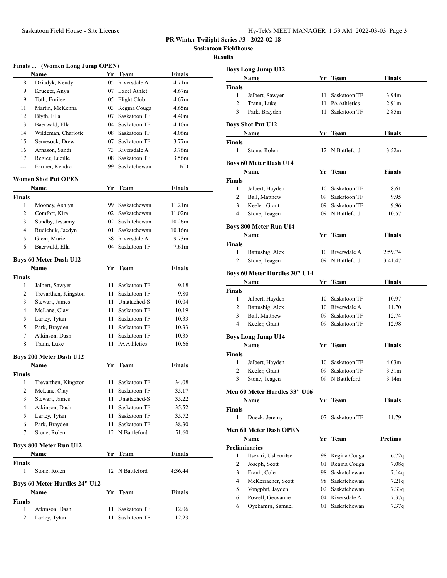**Saskatoon Fieldhouse**

|                | Finals  (Women Long Jump OPEN) |      |                 |                   |
|----------------|--------------------------------|------|-----------------|-------------------|
|                | Name                           |      | Yr Team         | <b>Finals</b>     |
| 8              | Dziadyk, Kendyl                |      | 05 Riversdale A | 4.71 <sub>m</sub> |
| 9              | Krueger, Anya                  |      | 07 Excel Athlet | 4.67m             |
| 9              | Toth, Emilee                   |      | 05 Flight Club  | 4.67m             |
| 11             | Martin, McKenna                |      | 03 Regina Couga | 4.65m             |
| 12             | Blyth, Ella                    | 07   | Saskatoon TF    | 4.40m             |
| 13             | Baerwald, Ella                 | 04   | Saskatoon TF    | 4.10 <sub>m</sub> |
| 14             | Wildeman, Charlotte            | 08   | Saskatoon TF    | 4.06 <sub>m</sub> |
| 15             | Semesock, Drew                 | 07   | Saskatoon TF    | 3.77 <sub>m</sub> |
| 16             | Arnason, Sandi                 |      | 73 Riversdale A | 3.76m             |
| 17             | Regier, Lucille                |      | 08 Saskatoon TF | 3.56m             |
| ---            | Farmer, Kendra                 |      | 99 Saskatchewan | ND                |
|                | <b>Women Shot Put OPEN</b>     |      |                 |                   |
|                | Name                           | Yr   | Team            | <b>Finals</b>     |
| <b>Finals</b>  |                                |      |                 |                   |
| 1              | Mooney, Ashlyn                 |      | 99 Saskatchewan | 11.21m            |
| $\overline{2}$ | Comfort, Kira                  |      | 02 Saskatchewan | 11.02m            |
| 3              | Sundby, Jessamy                |      | 02 Saskatchewan | 10.26m            |
| 4              | Rudichuk, Jaedyn               | 01   | Saskatchewan    | 10.16m            |
| 5              | Gieni, Muriel                  |      | 58 Riversdale A | 9.73 <sub>m</sub> |
| 6              | Baerwald, Ella                 | 04   | Saskatoon TF    | 7.61 <sub>m</sub> |
|                | <b>Boys 60 Meter Dash U12</b>  |      |                 |                   |
|                | Name                           | Yr   | Team            | <b>Finals</b>     |
| <b>Finals</b>  |                                |      |                 |                   |
| 1              | Jalbert, Sawyer                | 11 - | Saskatoon TF    | 9.18              |
| 2              | Trevarthen, Kingston           | 11   | Saskatoon TF    | 9.80              |
| 3              | Stewart, James                 | 11 - | Unattached-S    | 10.04             |
| 4              | McLane, Clay                   | 11 - | Saskatoon TF    | 10.19             |
| 5              | Lartey, Tytan                  | 11   | Saskatoon TF    | 10.33             |
| 5              | Park, Brayden                  | 11 - | Saskatoon TF    | 10.33             |
| 7              | Atkinson, Dash                 | 11 - | Saskatoon TF    | 10.35             |
| 8              | Trann, Luke                    | 11   | PA Athletics    | 10.66             |
|                | Boys 200 Meter Dash U12        |      |                 |                   |
|                | Name                           |      | Yr Team         | Finals            |
| Finals         |                                |      |                 |                   |
| 1              | Trevarthen, Kingston           | 11   | Saskatoon TF    | 34.08             |
| 2              | McLane, Clay                   | 11   | Saskatoon TF    | 35.17             |
| 3              | Stewart, James                 | 11   | Unattached-S    | 35.22             |
| 4              | Atkinson, Dash                 | 11   | Saskatoon TF    | 35.52             |
| 5              | Lartey, Tytan                  | 11   | Saskatoon TF    | 35.72             |
| 6              | Park, Brayden                  | 11   | Saskatoon TF    | 38.30             |
| 7              | Stone, Rolen                   |      | 12 N Battleford | 51.60             |
|                | <b>Boys 800 Meter Run U12</b>  |      |                 |                   |
|                | Name                           |      | Yr Team         | <b>Finals</b>     |
| <b>Finals</b>  |                                |      |                 |                   |
| 1              | Stone, Rolen                   | 12   | N Battleford    | 4:36.44           |
|                | Boys 60 Meter Hurdles 24" U12  |      |                 |                   |
|                | Name                           |      | Yr Team         | <b>Finals</b>     |
| Finals         |                                |      |                 |                   |
| 1              | Atkinson, Dash                 | 11   | Saskatoon TF    | 12.06             |
| 2              | Lartey, Tytan                  | 11   | Saskatoon TF    | 12.23             |
|                |                                |      |                 |                   |

|                | <b>Boys Long Jump U12</b>            |     |                 |                   |
|----------------|--------------------------------------|-----|-----------------|-------------------|
|                | Name                                 |     | Yr Team         | Finals            |
| <b>Finals</b>  |                                      |     |                 |                   |
| 1              | Jalbert, Sawyer                      | 11. | Saskatoon TF    | 3.94 <sub>m</sub> |
| 2              | Trann, Luke                          | 11. | PA Athletics    | 2.91 <sub>m</sub> |
| 3              | Park, Brayden                        | 11. | Saskatoon TF    | 2.85m             |
|                | <b>Boys Shot Put U12</b>             |     |                 |                   |
|                | <b>Name</b>                          | Yr  | Team            | <b>Finals</b>     |
| <b>Finals</b>  |                                      |     |                 |                   |
| 1              | Stone, Rolen                         |     | 12 N Battleford | 3.52m             |
|                | <b>Boys 60 Meter Dash U14</b>        |     |                 |                   |
|                | Name                                 |     | Yr Team         | <b>Finals</b>     |
| <b>Finals</b>  |                                      |     |                 |                   |
| 1              | Jalbert, Hayden                      | 10  | Saskatoon TF    | 8.61              |
| 2              | Ball, Matthew                        | 09. | Saskatoon TF    | 9.95              |
| 3              | Keeler, Grant                        | 09. | Saskatoon TF    | 9.96              |
| 4              | Stone, Teagen                        |     | 09 N Battleford | 10.57             |
|                |                                      |     |                 |                   |
|                | <b>Boys 800 Meter Run U14</b>        |     |                 |                   |
|                | Name                                 | Yr  | Team            | Finals            |
| <b>Finals</b>  |                                      |     |                 |                   |
| 1              | Battushig, Alex                      |     | 10 Riversdale A | 2:59.74           |
| $\overline{c}$ | Stone, Teagen                        | 09. | N Battleford    | 3:41.47           |
|                | <b>Boys 60 Meter Hurdles 30" U14</b> |     |                 |                   |
|                | Name                                 | Yr  | Team            | Finals            |
| <b>Finals</b>  |                                      |     |                 |                   |
| 1              | Jalbert, Hayden                      |     | 10 Saskatoon TF | 10.97             |
| 2              | Battushig, Alex                      |     | 10 Riversdale A | 11.70             |
| 3              | Ball, Matthew                        | 09  | Saskatoon TF    | 12.74             |
| 4              | Keeler, Grant                        | 09  | Saskatoon TF    | 12.98             |
|                | <b>Boys Long Jump U14</b>            |     |                 |                   |
|                | Name                                 |     | Yr Team         | Finals            |
| <b>Finals</b>  |                                      |     |                 |                   |
| 1              | Jalbert, Hayden                      | 10  | Saskatoon TF    | 4.03m             |
| 2              | Keeler, Grant                        | 09  | Saskatoon TF    | 3.51 <sub>m</sub> |
| 3              | Stone, Teagen                        |     | 09 N Battleford | 3.14m             |
|                |                                      |     |                 |                   |
|                | Men 60 Meter Hurdles 33" U16         |     |                 |                   |
|                | Name                                 | Yr  | <b>Team</b>     | <b>Finals</b>     |
| <b>Finals</b>  |                                      |     |                 |                   |
| 1              | Dueck, Jeremy                        | 07  | Saskatoon TF    | 11.79             |
|                | <b>Men 60 Meter Dash OPEN</b>        |     |                 |                   |
|                | Name                                 |     | Yr Team         | <b>Prelims</b>    |
|                | <b>Preliminaries</b>                 |     |                 |                   |
| 1              | Itsekiri, Usheoritse                 | 98. | Regina Couga    | 6.72q             |
| 2              | Joseph, Scott                        | 01  | Regina Couga    | 7.08q             |
| 3              | Frank, Cole                          | 98  | Saskatchewan    | 7.14q             |
| 4              | McKerracher, Scott                   | 98. | Saskatchewan    | 7.21q             |
| 5              | Vongphit, Jayden                     | 02  | Saskatchewan    | 7.33q             |
| 6              | Powell, Geovanne                     | 04  | Riversdale A    | 7.37q             |
| 6              | Oyebamiji, Samuel                    | 01  | Saskatchewan    | 7.37q             |